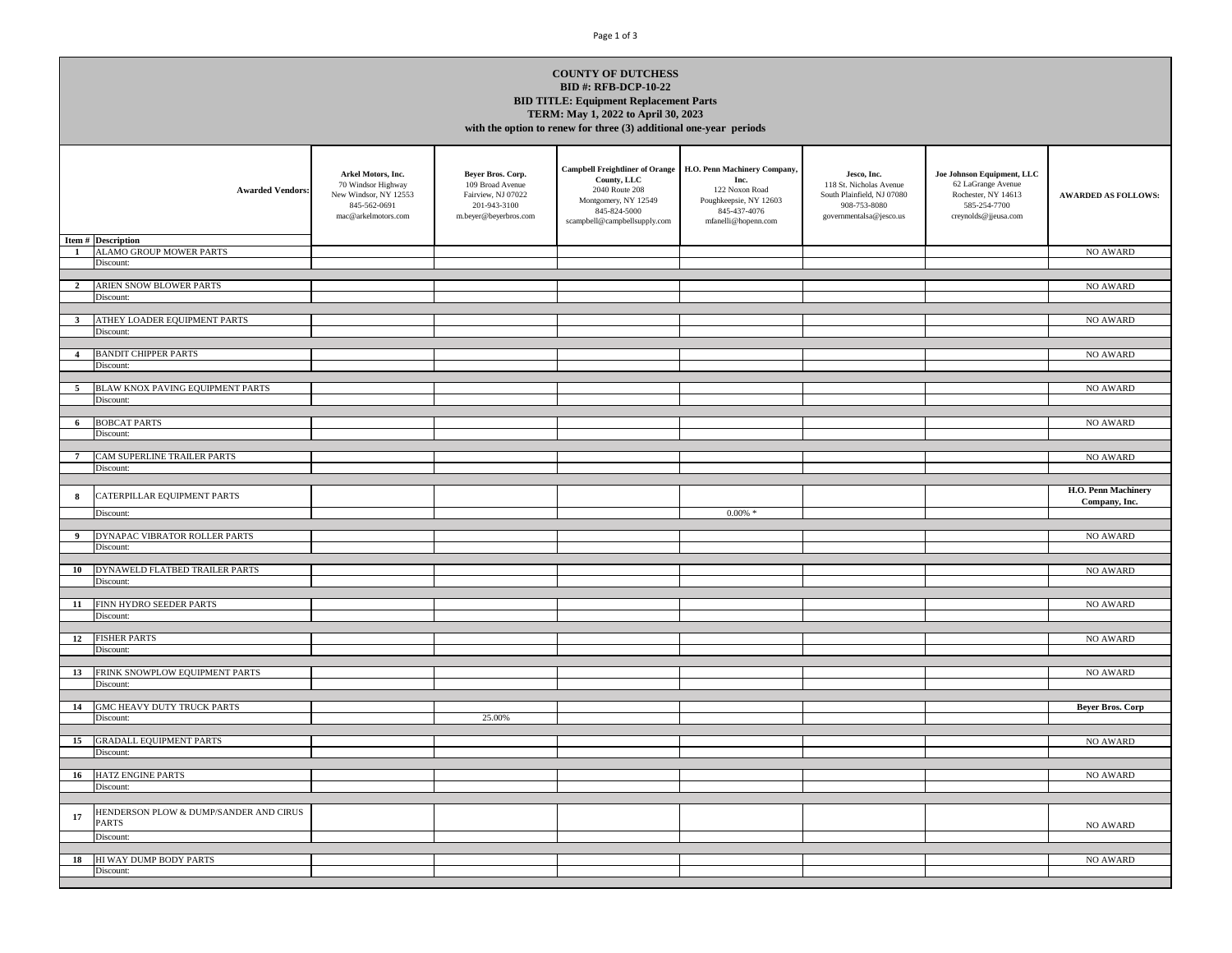## Page 1 of 3

| <b>COUNTY OF DUTCHESS</b>                                       |  |  |  |  |  |  |  |
|-----------------------------------------------------------------|--|--|--|--|--|--|--|
| <b>BID #: RFB-DCP-10-22</b>                                     |  |  |  |  |  |  |  |
| <b>BID TITLE: Equipment Replacement Parts</b>                   |  |  |  |  |  |  |  |
| TERM: May 1, 2022 to April 30, 2023                             |  |  |  |  |  |  |  |
| $\mathbf{a}$ and $\mathbf{a}$ and $\mathbf{a}$ and $\mathbf{a}$ |  |  |  |  |  |  |  |

**with the option to renew for three (3) additional one-year periods**

| <b>Awarded Vendors:</b><br>Item # Description                | Arkel Motors, Inc.<br>70 Windsor Highway<br>New Windsor, NY 12553<br>845-562-0691<br>mac@arkelmotors.com | Beyer Bros. Corp.<br>109 Broad Avenue<br>Fairview, NJ 07022<br>201-943-3100<br>m.beyer@beyerbros.com | <b>Campbell Freightliner of Orange</b><br>County, LLC<br>2040 Route 208<br>Montgomery, NY 12549<br>845-824-5000<br>scampbell@campbellsupply.com | H.O. Penn Machinery Company,<br>Inc.<br>122 Noxon Road<br>Poughkeepsie, NY 12603<br>845-437-4076<br>mfanelli@hopenn.com | Jesco, Inc.<br>118 St. Nicholas Avenue<br>South Plainfield, NJ 07080<br>908-753-8080<br>governmentalsa@jesco.us | Joe Johnson Equipment, LLC<br>62 LaGrange Avenue<br>Rochester, NY 14613<br>585-254-7700<br>creynolds@jjeusa.com | <b>AWARDED AS FOLLOWS:</b>           |
|--------------------------------------------------------------|----------------------------------------------------------------------------------------------------------|------------------------------------------------------------------------------------------------------|-------------------------------------------------------------------------------------------------------------------------------------------------|-------------------------------------------------------------------------------------------------------------------------|-----------------------------------------------------------------------------------------------------------------|-----------------------------------------------------------------------------------------------------------------|--------------------------------------|
| ALAMO GROUP MOWER PARTS<br>$\mathbf{1}$                      |                                                                                                          |                                                                                                      |                                                                                                                                                 |                                                                                                                         |                                                                                                                 |                                                                                                                 | NO AWARD                             |
| Discount:                                                    |                                                                                                          |                                                                                                      |                                                                                                                                                 |                                                                                                                         |                                                                                                                 |                                                                                                                 |                                      |
|                                                              |                                                                                                          |                                                                                                      |                                                                                                                                                 |                                                                                                                         |                                                                                                                 |                                                                                                                 |                                      |
| ARIEN SNOW BLOWER PARTS<br>$\overline{2}$<br>Discount:       |                                                                                                          |                                                                                                      |                                                                                                                                                 |                                                                                                                         |                                                                                                                 |                                                                                                                 | NO AWARD                             |
|                                                              |                                                                                                          |                                                                                                      |                                                                                                                                                 |                                                                                                                         |                                                                                                                 |                                                                                                                 |                                      |
| ATHEY LOADER EQUIPMENT PARTS<br>$\mathbf{3}$                 |                                                                                                          |                                                                                                      |                                                                                                                                                 |                                                                                                                         |                                                                                                                 |                                                                                                                 | NO AWARD                             |
| Discount:                                                    |                                                                                                          |                                                                                                      |                                                                                                                                                 |                                                                                                                         |                                                                                                                 |                                                                                                                 |                                      |
|                                                              |                                                                                                          |                                                                                                      |                                                                                                                                                 |                                                                                                                         |                                                                                                                 |                                                                                                                 |                                      |
| <b>BANDIT CHIPPER PARTS</b><br>$\overline{4}$                |                                                                                                          |                                                                                                      |                                                                                                                                                 |                                                                                                                         |                                                                                                                 |                                                                                                                 | NO AWARD                             |
| Discount:                                                    |                                                                                                          |                                                                                                      |                                                                                                                                                 |                                                                                                                         |                                                                                                                 |                                                                                                                 |                                      |
| BLAW KNOX PAVING EQUIPMENT PARTS<br>5                        |                                                                                                          |                                                                                                      |                                                                                                                                                 |                                                                                                                         |                                                                                                                 |                                                                                                                 | NO AWARD                             |
| Discount:                                                    |                                                                                                          |                                                                                                      |                                                                                                                                                 |                                                                                                                         |                                                                                                                 |                                                                                                                 |                                      |
|                                                              |                                                                                                          |                                                                                                      |                                                                                                                                                 |                                                                                                                         |                                                                                                                 |                                                                                                                 |                                      |
| <b>BOBCAT PARTS</b><br>6                                     |                                                                                                          |                                                                                                      |                                                                                                                                                 |                                                                                                                         |                                                                                                                 |                                                                                                                 | <b>NO AWARD</b>                      |
| Discount:                                                    |                                                                                                          |                                                                                                      |                                                                                                                                                 |                                                                                                                         |                                                                                                                 |                                                                                                                 |                                      |
|                                                              |                                                                                                          |                                                                                                      |                                                                                                                                                 |                                                                                                                         |                                                                                                                 |                                                                                                                 |                                      |
| CAM SUPERLINE TRAILER PARTS<br>Discount:                     |                                                                                                          |                                                                                                      |                                                                                                                                                 |                                                                                                                         |                                                                                                                 |                                                                                                                 | NO AWARD                             |
|                                                              |                                                                                                          |                                                                                                      |                                                                                                                                                 |                                                                                                                         |                                                                                                                 |                                                                                                                 |                                      |
| CATERPILLAR EQUIPMENT PARTS<br>8                             |                                                                                                          |                                                                                                      |                                                                                                                                                 |                                                                                                                         |                                                                                                                 |                                                                                                                 | H.O. Penn Machinery<br>Company, Inc. |
| Discount:                                                    |                                                                                                          |                                                                                                      |                                                                                                                                                 | $0.00\%$ *                                                                                                              |                                                                                                                 |                                                                                                                 |                                      |
|                                                              |                                                                                                          |                                                                                                      |                                                                                                                                                 |                                                                                                                         |                                                                                                                 |                                                                                                                 |                                      |
| DYNAPAC VIBRATOR ROLLER PARTS<br>$\overline{9}$              |                                                                                                          |                                                                                                      |                                                                                                                                                 |                                                                                                                         |                                                                                                                 |                                                                                                                 | NO AWARD                             |
| Discount:                                                    |                                                                                                          |                                                                                                      |                                                                                                                                                 |                                                                                                                         |                                                                                                                 |                                                                                                                 |                                      |
| DYNAWELD FLATBED TRAILER PARTS<br>10                         |                                                                                                          |                                                                                                      |                                                                                                                                                 |                                                                                                                         |                                                                                                                 |                                                                                                                 | NO AWARD                             |
| Discount:                                                    |                                                                                                          |                                                                                                      |                                                                                                                                                 |                                                                                                                         |                                                                                                                 |                                                                                                                 |                                      |
|                                                              |                                                                                                          |                                                                                                      |                                                                                                                                                 |                                                                                                                         |                                                                                                                 |                                                                                                                 |                                      |
| FINN HYDRO SEEDER PARTS<br>11                                |                                                                                                          |                                                                                                      |                                                                                                                                                 |                                                                                                                         |                                                                                                                 |                                                                                                                 | <b>NO AWARD</b>                      |
| Discount:                                                    |                                                                                                          |                                                                                                      |                                                                                                                                                 |                                                                                                                         |                                                                                                                 |                                                                                                                 |                                      |
|                                                              |                                                                                                          |                                                                                                      |                                                                                                                                                 |                                                                                                                         |                                                                                                                 |                                                                                                                 |                                      |
| <b>FISHER PARTS</b><br>12<br>Discount:                       |                                                                                                          |                                                                                                      |                                                                                                                                                 |                                                                                                                         |                                                                                                                 |                                                                                                                 | NO AWARD                             |
|                                                              |                                                                                                          |                                                                                                      |                                                                                                                                                 |                                                                                                                         |                                                                                                                 |                                                                                                                 |                                      |
| FRINK SNOWPLOW EQUIPMENT PARTS<br>13                         |                                                                                                          |                                                                                                      |                                                                                                                                                 |                                                                                                                         |                                                                                                                 |                                                                                                                 | NO AWARD                             |
| Discount:                                                    |                                                                                                          |                                                                                                      |                                                                                                                                                 |                                                                                                                         |                                                                                                                 |                                                                                                                 |                                      |
|                                                              |                                                                                                          |                                                                                                      |                                                                                                                                                 |                                                                                                                         |                                                                                                                 |                                                                                                                 |                                      |
| GMC HEAVY DUTY TRUCK PARTS<br>14                             |                                                                                                          |                                                                                                      |                                                                                                                                                 |                                                                                                                         |                                                                                                                 |                                                                                                                 | <b>Beyer Bros. Corp</b>              |
| Discount:                                                    |                                                                                                          | 25.00%                                                                                               |                                                                                                                                                 |                                                                                                                         |                                                                                                                 |                                                                                                                 |                                      |
| 15<br><b>GRADALL EQUIPMENT PARTS</b>                         |                                                                                                          |                                                                                                      |                                                                                                                                                 |                                                                                                                         |                                                                                                                 |                                                                                                                 | NO AWARD                             |
| Discount:                                                    |                                                                                                          |                                                                                                      |                                                                                                                                                 |                                                                                                                         |                                                                                                                 |                                                                                                                 |                                      |
|                                                              |                                                                                                          |                                                                                                      |                                                                                                                                                 |                                                                                                                         |                                                                                                                 |                                                                                                                 |                                      |
| 16<br>HATZ ENGINE PARTS                                      |                                                                                                          |                                                                                                      |                                                                                                                                                 |                                                                                                                         |                                                                                                                 |                                                                                                                 | <b>NO AWARD</b>                      |
| Discount:                                                    |                                                                                                          |                                                                                                      |                                                                                                                                                 |                                                                                                                         |                                                                                                                 |                                                                                                                 |                                      |
|                                                              |                                                                                                          |                                                                                                      |                                                                                                                                                 |                                                                                                                         |                                                                                                                 |                                                                                                                 |                                      |
| HENDERSON PLOW & DUMP/SANDER AND CIRUS<br>17<br><b>PARTS</b> |                                                                                                          |                                                                                                      |                                                                                                                                                 |                                                                                                                         |                                                                                                                 |                                                                                                                 | NO AWARD                             |
| Discount:                                                    |                                                                                                          |                                                                                                      |                                                                                                                                                 |                                                                                                                         |                                                                                                                 |                                                                                                                 |                                      |
|                                                              |                                                                                                          |                                                                                                      |                                                                                                                                                 |                                                                                                                         |                                                                                                                 |                                                                                                                 |                                      |
| HI WAY DUMP BODY PARTS<br>18                                 |                                                                                                          |                                                                                                      |                                                                                                                                                 |                                                                                                                         |                                                                                                                 |                                                                                                                 | <b>NO AWARD</b>                      |
| Discount:                                                    |                                                                                                          |                                                                                                      |                                                                                                                                                 |                                                                                                                         |                                                                                                                 |                                                                                                                 |                                      |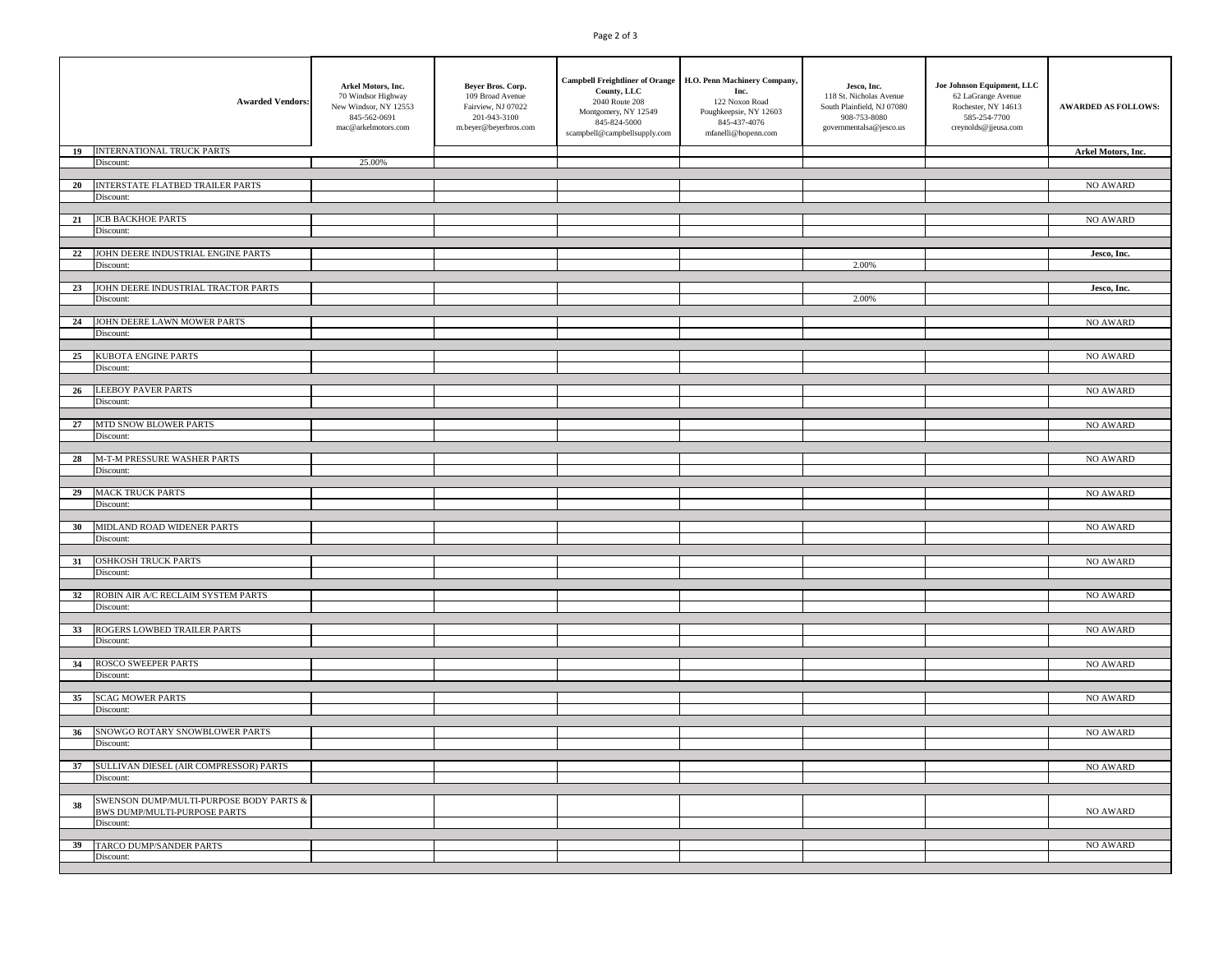## Page 2 of 3

|    | <b>Awarded Vendors:</b>                     | Arkel Motors, Inc.<br>70 Windsor Highway<br>New Windsor, NY 12553<br>845-562-0691<br>mac@arkelmotors.com | Beyer Bros. Corp.<br>109 Broad Avenue<br>Fairview, NJ 07022<br>201-943-3100<br>m.beyer@beyerbros.com | County, LLC<br>2040 Route 208<br>Montgomery, NY 12549<br>845-824-5000<br>scampbell@campbellsupply.com | Campbell Freightliner of Orange H.O. Penn Machinery Company,<br>Inc.<br>122 Noxon Road<br>Poughkeepsie, NY 12603<br>845-437-4076<br>mfanelli@hopenn.com | Jesco, Inc.<br>118 St. Nicholas Avenue<br>South Plainfield, NJ 07080<br>908-753-8080<br>governmentalsa@jesco.us | Joe Johnson Equipment, LLC<br>62 LaGrange Avenue<br>Rochester, NY 14613<br>585-254-7700<br>creynolds@jjeusa.com | <b>AWARDED AS FOLLOWS:</b> |
|----|---------------------------------------------|----------------------------------------------------------------------------------------------------------|------------------------------------------------------------------------------------------------------|-------------------------------------------------------------------------------------------------------|---------------------------------------------------------------------------------------------------------------------------------------------------------|-----------------------------------------------------------------------------------------------------------------|-----------------------------------------------------------------------------------------------------------------|----------------------------|
| 19 | <b>INTERNATIONAL TRUCK PARTS</b>            |                                                                                                          |                                                                                                      |                                                                                                       |                                                                                                                                                         |                                                                                                                 |                                                                                                                 | Arkel Motors, Inc.         |
|    | Discount:                                   | 25.00%                                                                                                   |                                                                                                      |                                                                                                       |                                                                                                                                                         |                                                                                                                 |                                                                                                                 |                            |
| 20 | INTERSTATE FLATBED TRAILER PARTS            |                                                                                                          |                                                                                                      |                                                                                                       |                                                                                                                                                         |                                                                                                                 |                                                                                                                 | NO AWARD                   |
|    | Discount:                                   |                                                                                                          |                                                                                                      |                                                                                                       |                                                                                                                                                         |                                                                                                                 |                                                                                                                 |                            |
|    |                                             |                                                                                                          |                                                                                                      |                                                                                                       |                                                                                                                                                         |                                                                                                                 |                                                                                                                 |                            |
| 21 | <b>JCB BACKHOE PARTS</b><br>Discount:       |                                                                                                          |                                                                                                      |                                                                                                       |                                                                                                                                                         |                                                                                                                 |                                                                                                                 | NO AWARD                   |
|    |                                             |                                                                                                          |                                                                                                      |                                                                                                       |                                                                                                                                                         |                                                                                                                 |                                                                                                                 |                            |
| 22 | JOHN DEERE INDUSTRIAL ENGINE PARTS          |                                                                                                          |                                                                                                      |                                                                                                       |                                                                                                                                                         |                                                                                                                 |                                                                                                                 | Jesco, Inc.                |
|    | Discount:                                   |                                                                                                          |                                                                                                      |                                                                                                       |                                                                                                                                                         | 2.00%                                                                                                           |                                                                                                                 |                            |
|    | 23 JOHN DEERE INDUSTRIAL TRACTOR PARTS      |                                                                                                          |                                                                                                      |                                                                                                       |                                                                                                                                                         |                                                                                                                 |                                                                                                                 | Jesco, Inc.                |
|    | Discount:                                   |                                                                                                          |                                                                                                      |                                                                                                       |                                                                                                                                                         | 2.00%                                                                                                           |                                                                                                                 |                            |
|    |                                             |                                                                                                          |                                                                                                      |                                                                                                       |                                                                                                                                                         |                                                                                                                 |                                                                                                                 |                            |
|    | 24 JOHN DEERE LAWN MOWER PARTS              |                                                                                                          |                                                                                                      |                                                                                                       |                                                                                                                                                         |                                                                                                                 |                                                                                                                 | NO AWARD                   |
|    | Discount:                                   |                                                                                                          |                                                                                                      |                                                                                                       |                                                                                                                                                         |                                                                                                                 |                                                                                                                 |                            |
| 25 | KUBOTA ENGINE PARTS                         |                                                                                                          |                                                                                                      |                                                                                                       |                                                                                                                                                         |                                                                                                                 |                                                                                                                 | NO AWARD                   |
|    | Discount:                                   |                                                                                                          |                                                                                                      |                                                                                                       |                                                                                                                                                         |                                                                                                                 |                                                                                                                 |                            |
|    |                                             |                                                                                                          |                                                                                                      |                                                                                                       |                                                                                                                                                         |                                                                                                                 |                                                                                                                 |                            |
| 26 | <b>LEEBOY PAVER PARTS</b>                   |                                                                                                          |                                                                                                      |                                                                                                       |                                                                                                                                                         |                                                                                                                 |                                                                                                                 | NO AWARD                   |
|    | Discount:                                   |                                                                                                          |                                                                                                      |                                                                                                       |                                                                                                                                                         |                                                                                                                 |                                                                                                                 |                            |
|    | 27 MTD SNOW BLOWER PARTS                    |                                                                                                          |                                                                                                      |                                                                                                       |                                                                                                                                                         |                                                                                                                 |                                                                                                                 | NO AWARD                   |
|    | Discount:                                   |                                                                                                          |                                                                                                      |                                                                                                       |                                                                                                                                                         |                                                                                                                 |                                                                                                                 |                            |
|    |                                             |                                                                                                          |                                                                                                      |                                                                                                       |                                                                                                                                                         |                                                                                                                 |                                                                                                                 |                            |
| 28 | M-T-M PRESSURE WASHER PARTS<br>Discount:    |                                                                                                          |                                                                                                      |                                                                                                       |                                                                                                                                                         |                                                                                                                 |                                                                                                                 | NO AWARD                   |
|    |                                             |                                                                                                          |                                                                                                      |                                                                                                       |                                                                                                                                                         |                                                                                                                 |                                                                                                                 |                            |
|    | 29 MACK TRUCK PARTS                         |                                                                                                          |                                                                                                      |                                                                                                       |                                                                                                                                                         |                                                                                                                 |                                                                                                                 | NO AWARD                   |
|    | Discount:                                   |                                                                                                          |                                                                                                      |                                                                                                       |                                                                                                                                                         |                                                                                                                 |                                                                                                                 |                            |
|    | 30 MIDLAND ROAD WIDENER PARTS               |                                                                                                          |                                                                                                      |                                                                                                       |                                                                                                                                                         |                                                                                                                 |                                                                                                                 | NO AWARD                   |
|    | Discount:                                   |                                                                                                          |                                                                                                      |                                                                                                       |                                                                                                                                                         |                                                                                                                 |                                                                                                                 |                            |
|    |                                             |                                                                                                          |                                                                                                      |                                                                                                       |                                                                                                                                                         |                                                                                                                 |                                                                                                                 |                            |
| 31 | <b>OSHKOSH TRUCK PARTS</b>                  |                                                                                                          |                                                                                                      |                                                                                                       |                                                                                                                                                         |                                                                                                                 |                                                                                                                 | NO AWARD                   |
|    | Discount:                                   |                                                                                                          |                                                                                                      |                                                                                                       |                                                                                                                                                         |                                                                                                                 |                                                                                                                 |                            |
| 32 | ROBIN AIR A/C RECLAIM SYSTEM PARTS          |                                                                                                          |                                                                                                      |                                                                                                       |                                                                                                                                                         |                                                                                                                 |                                                                                                                 | NO AWARD                   |
|    | Discount:                                   |                                                                                                          |                                                                                                      |                                                                                                       |                                                                                                                                                         |                                                                                                                 |                                                                                                                 |                            |
|    |                                             |                                                                                                          |                                                                                                      |                                                                                                       |                                                                                                                                                         |                                                                                                                 |                                                                                                                 |                            |
| 33 | ROGERS LOWBED TRAILER PARTS<br>Discount:    |                                                                                                          |                                                                                                      |                                                                                                       |                                                                                                                                                         |                                                                                                                 |                                                                                                                 | NO AWARD                   |
|    |                                             |                                                                                                          |                                                                                                      |                                                                                                       |                                                                                                                                                         |                                                                                                                 |                                                                                                                 |                            |
| 34 | <b>ROSCO SWEEPER PARTS</b>                  |                                                                                                          |                                                                                                      |                                                                                                       |                                                                                                                                                         |                                                                                                                 |                                                                                                                 | <b>NO AWARD</b>            |
|    | Discount:                                   |                                                                                                          |                                                                                                      |                                                                                                       |                                                                                                                                                         |                                                                                                                 |                                                                                                                 |                            |
|    | 35 SCAG MOWER PARTS                         |                                                                                                          |                                                                                                      |                                                                                                       |                                                                                                                                                         |                                                                                                                 |                                                                                                                 | NO AWARD                   |
|    | Discount:                                   |                                                                                                          |                                                                                                      |                                                                                                       |                                                                                                                                                         |                                                                                                                 |                                                                                                                 |                            |
|    |                                             |                                                                                                          |                                                                                                      |                                                                                                       |                                                                                                                                                         |                                                                                                                 |                                                                                                                 |                            |
| 36 | SNOWGO ROTARY SNOWBLOWER PARTS<br>Discount: |                                                                                                          |                                                                                                      |                                                                                                       |                                                                                                                                                         |                                                                                                                 |                                                                                                                 | NO AWARD                   |
|    |                                             |                                                                                                          |                                                                                                      |                                                                                                       |                                                                                                                                                         |                                                                                                                 |                                                                                                                 |                            |
|    | 37 SULLIVAN DIESEL (AIR COMPRESSOR) PARTS   |                                                                                                          |                                                                                                      |                                                                                                       |                                                                                                                                                         |                                                                                                                 |                                                                                                                 | NO AWARD                   |
|    | Discount:                                   |                                                                                                          |                                                                                                      |                                                                                                       |                                                                                                                                                         |                                                                                                                 |                                                                                                                 |                            |
|    | SWENSON DUMP/MULTI-PURPOSE BODY PARTS &     |                                                                                                          |                                                                                                      |                                                                                                       |                                                                                                                                                         |                                                                                                                 |                                                                                                                 |                            |
| 38 | <b>BWS DUMP/MULTI-PURPOSE PARTS</b>         |                                                                                                          |                                                                                                      |                                                                                                       |                                                                                                                                                         |                                                                                                                 |                                                                                                                 | NO AWARD                   |
|    | Discount:                                   |                                                                                                          |                                                                                                      |                                                                                                       |                                                                                                                                                         |                                                                                                                 |                                                                                                                 |                            |
|    |                                             |                                                                                                          |                                                                                                      |                                                                                                       |                                                                                                                                                         |                                                                                                                 |                                                                                                                 |                            |
|    | 39 TARCO DUMP/SANDER PARTS<br>Discount:     |                                                                                                          |                                                                                                      |                                                                                                       |                                                                                                                                                         |                                                                                                                 |                                                                                                                 | NO AWARD                   |
|    |                                             |                                                                                                          |                                                                                                      |                                                                                                       |                                                                                                                                                         |                                                                                                                 |                                                                                                                 |                            |